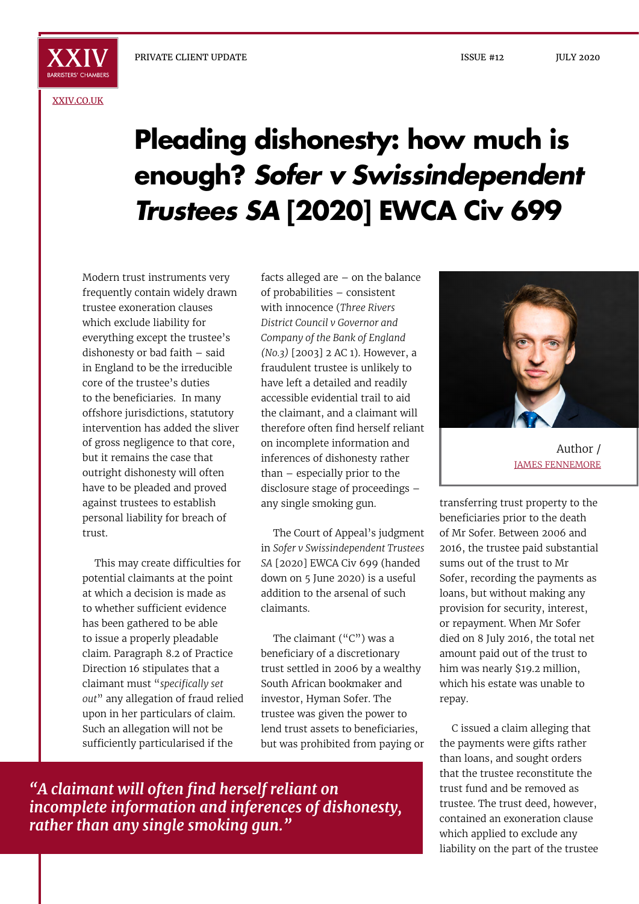[XXIV.CO.UK](http://xxiv.co.uk)

## **Pleading dishonesty: how much is enough?** *Sofer v Swissindependent Trustees SA* **[2020] EWCA Civ 699**

Modern trust instruments very frequently contain widely drawn trustee exoneration clauses which exclude liability for everything except the trustee's dishonesty or bad faith – said in England to be the irreducible core of the trustee's duties to the beneficiaries. In many offshore jurisdictions, statutory intervention has added the sliver of gross negligence to that core, but it remains the case that outright dishonesty will often have to be pleaded and proved against trustees to establish personal liability for breach of trust.

This may create difficulties for potential claimants at the point at which a decision is made as to whether sufficient evidence has been gathered to be able to issue a properly pleadable claim. Paragraph 8.2 of Practice Direction 16 stipulates that a claimant must "*specifically set out*" any allegation of fraud relied upon in her particulars of claim. Such an allegation will not be sufficiently particularised if the

facts alleged are – on the balance of probabilities – consistent with innocence (*Three Rivers District Council v Governor and Company of the Bank of England (No.3)* [2003] 2 AC 1). However, a fraudulent trustee is unlikely to have left a detailed and readily accessible evidential trail to aid the claimant, and a claimant will therefore often find herself reliant on incomplete information and inferences of dishonesty rather than – especially prior to the disclosure stage of proceedings – any single smoking gun.

The Court of Appeal's judgment in *Sofer v Swissindependent Trustees SA* [2020] EWCA Civ 699 (handed down on 5 June 2020) is a useful addition to the arsenal of such claimants.

The claimant ("C") was a beneficiary of a discretionary trust settled in 2006 by a wealthy South African bookmaker and investor, Hyman Sofer. The trustee was given the power to lend trust assets to beneficiaries, but was prohibited from paying or

Author / JAMES FENNEMORE

transferring trust property to the beneficiaries prior to the death of Mr Sofer. Between 2006 and 2016, the trustee paid substantial sums out of the trust to Mr Sofer, recording the payments as loans, but without making any provision for security, interest, or repayment. When Mr Sofer died on 8 July 2016, the total net amount paid out of the trust to him was nearly \$19.2 million, which his estate was unable to repay.

C issued a claim alleging that the payments were gifts rather than loans, and sought orders that the trustee reconstitute the trust fund and be removed as trustee. The trust deed, however, contained an exoneration clause which applied to exclude any liability on the part of the trustee

*"A claimant will often find herself reliant on incomplete information and inferences of dishonesty, rather than any single smoking gun."*